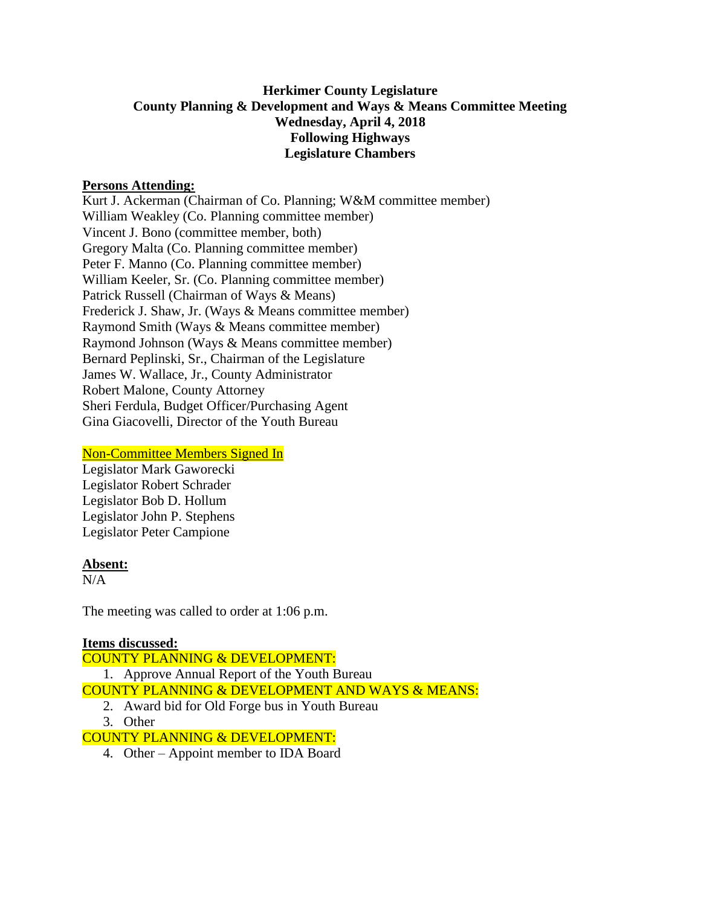# **Herkimer County Legislature County Planning & Development and Ways & Means Committee Meeting Wednesday, April 4, 2018 Following Highways Legislature Chambers**

### **Persons Attending:**

Kurt J. Ackerman (Chairman of Co. Planning; W&M committee member) William Weakley (Co. Planning committee member) Vincent J. Bono (committee member, both) Gregory Malta (Co. Planning committee member) Peter F. Manno (Co. Planning committee member) William Keeler, Sr. (Co. Planning committee member) Patrick Russell (Chairman of Ways & Means) Frederick J. Shaw, Jr. (Ways & Means committee member) Raymond Smith (Ways & Means committee member) Raymond Johnson (Ways & Means committee member) Bernard Peplinski, Sr., Chairman of the Legislature James W. Wallace, Jr., County Administrator Robert Malone, County Attorney Sheri Ferdula, Budget Officer/Purchasing Agent Gina Giacovelli, Director of the Youth Bureau

## Non-Committee Members Signed In

Legislator Mark Gaworecki Legislator Robert Schrader Legislator Bob D. Hollum Legislator John P. Stephens Legislator Peter Campione

#### **Absent:**

N/A

The meeting was called to order at 1:06 p.m.

#### **Items discussed:** COUNTY PLANNING & DEVELOPMENT:

1. Approve Annual Report of the Youth Bureau COUNTY PLANNING & DEVELOPMENT AND WAYS & MEANS:

- 2. Award bid for Old Forge bus in Youth Bureau
- 3. Other

## COUNTY PLANNING & DEVELOPMENT:

4. Other – Appoint member to IDA Board